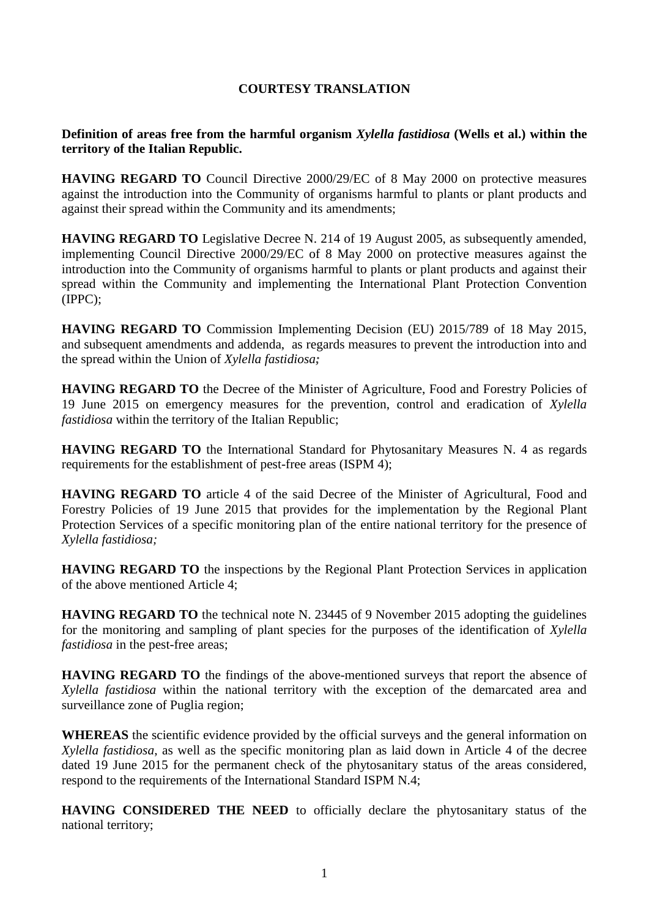## **COURTESY TRANSLATION**

## **Definition of areas free from the harmful organism** *Xylella fastidiosa* **(Wells et al.) within the territory of the Italian Republic.**

**HAVING REGARD TO** Council Directive 2000/29/EC of 8 May 2000 on protective measures against the introduction into the Community of organisms harmful to plants or plant products and against their spread within the Community and its amendments;

**HAVING REGARD TO** Legislative Decree N. 214 of 19 August 2005, as subsequently amended, implementing Council Directive 2000/29/EC of 8 May 2000 on protective measures against the introduction into the Community of organisms harmful to plants or plant products and against their spread within the Community and implementing the International Plant Protection Convention (IPPC);

**HAVING REGARD TO** Commission Implementing Decision (EU) 2015/789 of 18 May 2015, and subsequent amendments and addenda, as regards measures to prevent the introduction into and the spread within the Union of *Xylella fastidiosa;*

**HAVING REGARD TO** the Decree of the Minister of Agriculture, Food and Forestry Policies of 19 June 2015 on emergency measures for the prevention, control and eradication of *Xylella fastidiosa* within the territory of the Italian Republic;

**HAVING REGARD TO** the International Standard for Phytosanitary Measures N. 4 as regards requirements for the establishment of pest-free areas (ISPM 4);

**HAVING REGARD TO** article 4 of the said Decree of the Minister of Agricultural, Food and Forestry Policies of 19 June 2015 that provides for the implementation by the Regional Plant Protection Services of a specific monitoring plan of the entire national territory for the presence of *Xylella fastidiosa;*

**HAVING REGARD TO** the inspections by the Regional Plant Protection Services in application of the above mentioned Article 4;

**HAVING REGARD TO** the technical note N. 23445 of 9 November 2015 adopting the guidelines for the monitoring and sampling of plant species for the purposes of the identification of *Xylella fastidiosa* in the pest-free areas;

**HAVING REGARD TO** the findings of the above-mentioned surveys that report the absence of *Xylella fastidiosa* within the national territory with the exception of the demarcated area and surveillance zone of Puglia region;

**WHEREAS** the scientific evidence provided by the official surveys and the general information on *Xylella fastidiosa*, as well as the specific monitoring plan as laid down in Article 4 of the decree dated 19 June 2015 for the permanent check of the phytosanitary status of the areas considered, respond to the requirements of the International Standard ISPM N.4;

**HAVING CONSIDERED THE NEED** to officially declare the phytosanitary status of the national territory;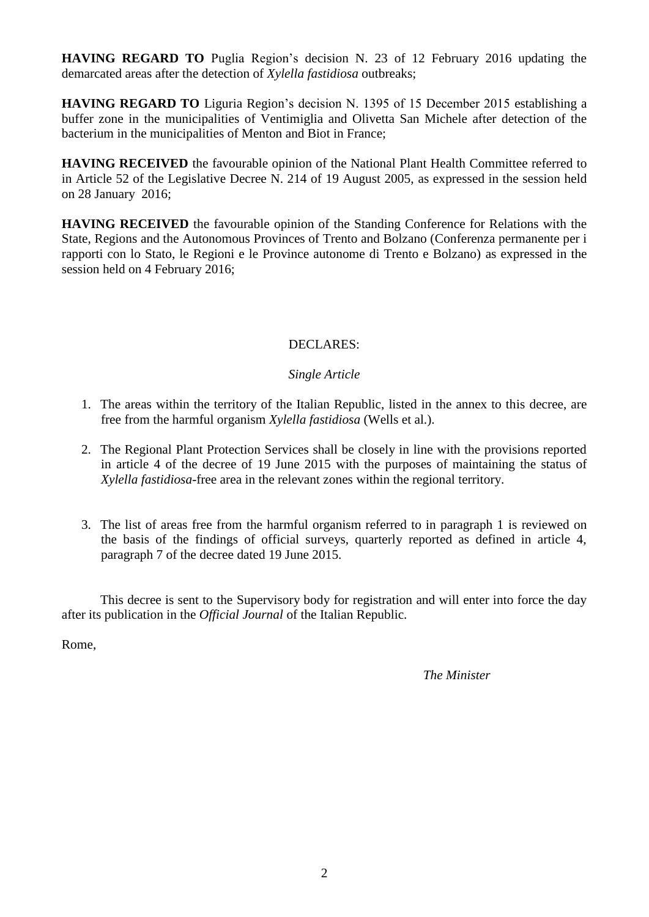**HAVING REGARD TO** Puglia Region's decision N. 23 of 12 February 2016 updating the demarcated areas after the detection of *Xylella fastidiosa* outbreaks;

**HAVING REGARD TO** Liguria Region's decision N. 1395 of 15 December 2015 establishing a buffer zone in the municipalities of Ventimiglia and Olivetta San Michele after detection of the bacterium in the municipalities of Menton and Biot in France;

**HAVING RECEIVED** the favourable opinion of the National Plant Health Committee referred to in Article 52 of the Legislative Decree N. 214 of 19 August 2005, as expressed in the session held on 28 January 2016;

**HAVING RECEIVED** the favourable opinion of the Standing Conference for Relations with the State, Regions and the Autonomous Provinces of Trento and Bolzano (Conferenza permanente per i rapporti con lo Stato, le Regioni e le Province autonome di Trento e Bolzano) as expressed in the session held on 4 February 2016;

# DECLARES:

## *Single Article*

- 1. The areas within the territory of the Italian Republic, listed in the annex to this decree, are free from the harmful organism *Xylella fastidiosa* (Wells et al.).
- 2. The Regional Plant Protection Services shall be closely in line with the provisions reported in article 4 of the decree of 19 June 2015 with the purposes of maintaining the status of *Xylella fastidiosa-*free area in the relevant zones within the regional territory.
- 3. The list of areas free from the harmful organism referred to in paragraph 1 is reviewed on the basis of the findings of official surveys, quarterly reported as defined in article 4, paragraph 7 of the decree dated 19 June 2015.

This decree is sent to the Supervisory body for registration and will enter into force the day after its publication in the *Official Journal* of the Italian Republic.

Rome,

*The Minister*